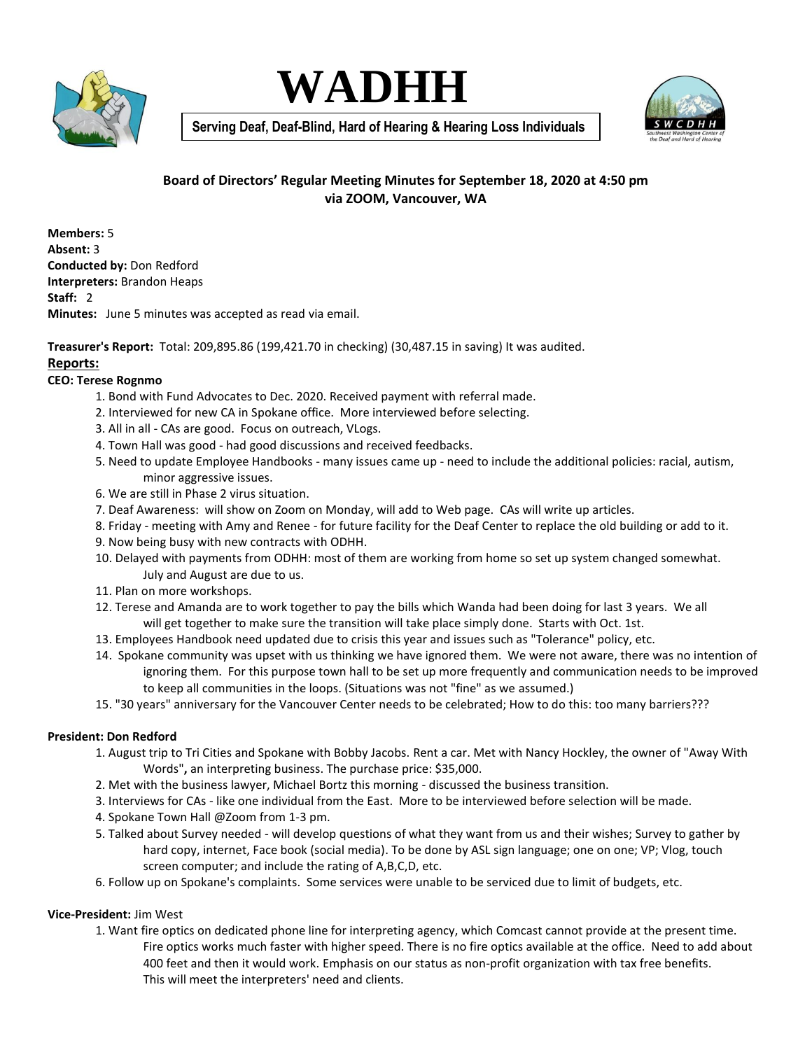





**Serving Deaf, Deaf-Blind, Hard of Hearing & Hearing Loss Individuals**

# **Board of Directors' Regular Meeting Minutes for September 18, 2020 at 4:50 pm via ZOOM, Vancouver, WA**

**Members:** 5 **Absent:** 3 **Conducted by:** Don Redford **Interpreters:** Brandon Heaps **Staff:** 2 **Minutes:** June 5 minutes was accepted as read via email.

**Treasurer's Report:** Total: 209,895.86 (199,421.70 in checking) (30,487.15 in saving) It was audited. **Reports:** 

### **CEO: Terese Rognmo**

- 1. Bond with Fund Advocates to Dec. 2020. Received payment with referral made.
- 2. Interviewed for new CA in Spokane office. More interviewed before selecting.
- 3. All in all CAs are good. Focus on outreach, VLogs.
- 4. Town Hall was good had good discussions and received feedbacks.
- 5. Need to update Employee Handbooks many issues came up need to include the additional policies: racial, autism, minor aggressive issues.
- 6. We are still in Phase 2 virus situation.
- 7. Deaf Awareness: will show on Zoom on Monday, will add to Web page. CAs will write up articles.
- 8. Friday meeting with Amy and Renee for future facility for the Deaf Center to replace the old building or add to it.
- 9. Now being busy with new contracts with ODHH.
- 10. Delayed with payments from ODHH: most of them are working from home so set up system changed somewhat. July and August are due to us.
- 11. Plan on more workshops.
- 12. Terese and Amanda are to work together to pay the bills which Wanda had been doing for last 3 years. We all will get together to make sure the transition will take place simply done. Starts with Oct. 1st.
- 13. Employees Handbook need updated due to crisis this year and issues such as "Tolerance" policy, etc.
- 14. Spokane community was upset with us thinking we have ignored them. We were not aware, there was no intention of ignoring them. For this purpose town hall to be set up more frequently and communication needs to be improved to keep all communities in the loops. (Situations was not "fine" as we assumed.)
- 15. "30 years" anniversary for the Vancouver Center needs to be celebrated; How to do this: too many barriers???

## **President: Don Redford**

- 1. August trip to Tri Cities and Spokane with Bobby Jacobs. Rent a car. Met with Nancy Hockley, the owner of "Away With Words"**,** an interpreting business. The purchase price: \$35,000.
- 2. Met with the business lawyer, Michael Bortz this morning discussed the business transition.
- 3. Interviews for CAs like one individual from the East. More to be interviewed before selection will be made.
- 4. Spokane Town Hall @Zoom from 1-3 pm.
- 5. Talked about Survey needed will develop questions of what they want from us and their wishes; Survey to gather by hard copy, internet, Face book (social media). To be done by ASL sign language; one on one; VP; Vlog, touch screen computer; and include the rating of A,B,C,D, etc.
- 6. Follow up on Spokane's complaints. Some services were unable to be serviced due to limit of budgets, etc.

## **Vice-President:** Jim West

1. Want fire optics on dedicated phone line for interpreting agency, which Comcast cannot provide at the present time. Fire optics works much faster with higher speed. There is no fire optics available at the office. Need to add about 400 feet and then it would work. Emphasis on our status as non-profit organization with tax free benefits. This will meet the interpreters' need and clients.